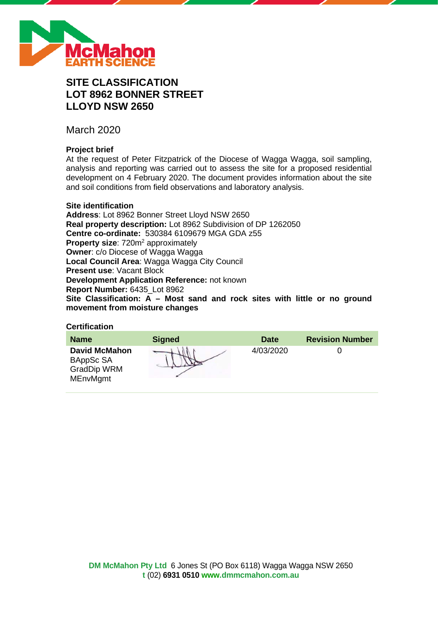

# **SITE CLASSIFICATION LOT 8962 BONNER STREET LLOYD NSW 2650**

March 2020

# **Project brief**

At the request of Peter Fitzpatrick of the Diocese of Wagga Wagga, soil sampling, analysis and reporting was carried out to assess the site for a proposed residential development on 4 February 2020. The document provides information about the site and soil conditions from field observations and laboratory analysis.

### **Site identification**

**Address**: Lot 8962 Bonner Street Lloyd NSW 2650 **Real property description:** Lot 8962 Subdivision of DP 1262050 **Centre co-ordinate:** 530384 6109679 MGA GDA z55 **Property size:** 720m<sup>2</sup> approximately **Owner**: c/o Diocese of Wagga Wagga **Local Council Area**: Wagga Wagga City Council **Present use**: Vacant Block **Development Application Reference:** not known **Report Number:** 6435\_Lot 8962 **Site Classification: A – Most sand and rock sites with little or no ground movement from moisture changes**

# **Certification**

| <b>Name</b>                                                                | <b>Signed</b> | <b>Date</b> | <b>Revision Number</b> |
|----------------------------------------------------------------------------|---------------|-------------|------------------------|
| <b>David McMahon</b><br>BAppSc SA<br><b>GradDip WRM</b><br><b>MEnvMgmt</b> |               | 4/03/2020   |                        |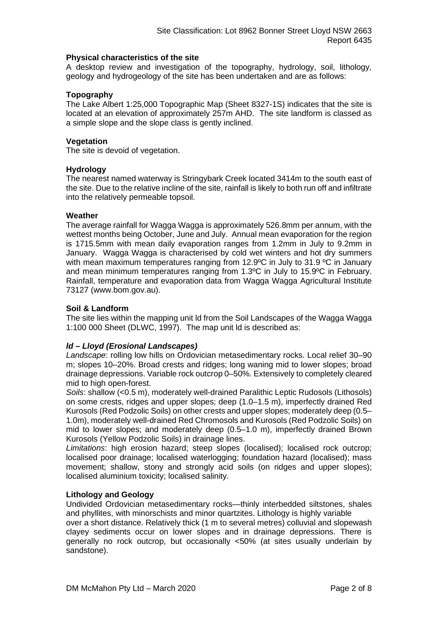### **Physical characteristics of the site**

A desktop review and investigation of the topography, hydrology, soil, lithology, geology and hydrogeology of the site has been undertaken and are as follows:

## **Topography**

The Lake Albert 1:25,000 Topographic Map (Sheet 8327-1S) indicates that the site is located at an elevation of approximately 257m AHD. The site landform is classed as a simple slope and the slope class is gently inclined.

### **Vegetation**

The site is devoid of vegetation.

### **Hydrology**

The nearest named waterway is Stringybark Creek located 3414m to the south east of the site. Due to the relative incline of the site, rainfall is likely to both run off and infiltrate into the relatively permeable topsoil.

### **Weather**

The average rainfall for Wagga Wagga is approximately 526.8mm per annum, with the wettest months being October, June and July. Annual mean evaporation for the region is 1715.5mm with mean daily evaporation ranges from 1.2mm in July to 9.2mm in January. Wagga Wagga is characterised by cold wet winters and hot dry summers with mean maximum temperatures ranging from 12.9°C in July to 31.9 °C in January and mean minimum temperatures ranging from 1.3ºC in July to 15.9ºC in February. Rainfall, temperature and evaporation data from Wagga Wagga Agricultural Institute 73127 (www.bom.gov.au).

### **Soil & Landform**

The site lies within the mapping unit ld from the Soil Landscapes of the Wagga Wagga 1:100 000 Sheet (DLWC, 1997). The map unit ld is described as:

# *ld – Lloyd (Erosional Landscapes)*

*Landscape*: rolling low hills on Ordovician metasedimentary rocks. Local relief 30–90 m; slopes 10–20%. Broad crests and ridges; long waning mid to lower slopes; broad drainage depressions. Variable rock outcrop 0–50%. Extensively to completely cleared mid to high open-forest.

*Soils*: shallow (<0.5 m), moderately well-drained Paralithic Leptic Rudosols (Lithosols) on some crests, ridges and upper slopes; deep (1.0–1.5 m), imperfectly drained Red Kurosols (Red Podzolic Soils) on other crests and upper slopes; moderately deep (0.5– 1.0m), moderately well-drained Red Chromosols and Kurosols (Red Podzolic Soils) on mid to lower slopes; and moderately deep (0.5–1.0 m), imperfectly drained Brown Kurosols (Yellow Podzolic Soils) in drainage lines.

*Limitations*: high erosion hazard; steep slopes (localised); localised rock outcrop; localised poor drainage; localised waterlogging; foundation hazard (localised); mass movement; shallow, stony and strongly acid soils (on ridges and upper slopes); localised aluminium toxicity; localised salinity.

### **Lithology and Geology**

Undivided Ordovician metasedimentary rocks—thinly interbedded siltstones, shales and phyllites, with minorschists and minor quartzites. Lithology is highly variable

over a short distance. Relatively thick (1 m to several metres) colluvial and slopewash clayey sediments occur on lower slopes and in drainage depressions. There is generally no rock outcrop, but occasionally <50% (at sites usually underlain by sandstone).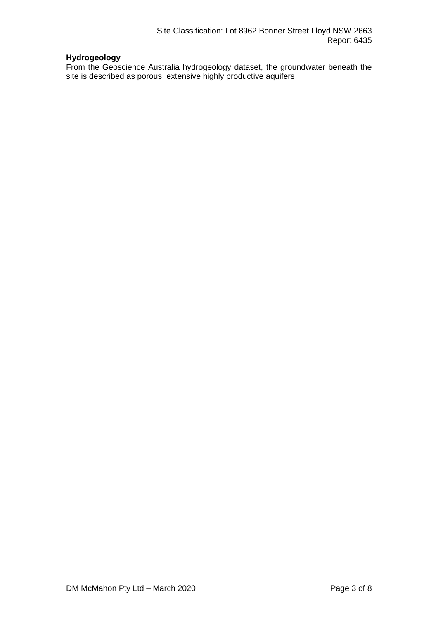# **Hydrogeology**

From the Geoscience Australia hydrogeology dataset, the groundwater beneath the site is described as porous, extensive highly productive aquifers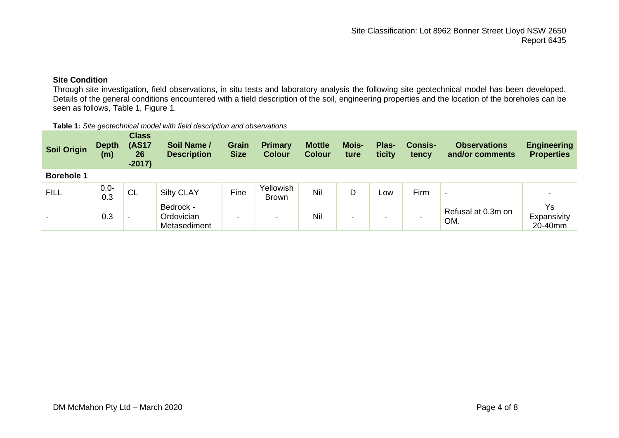# **Site Condition**

Through site investigation, field observations, in situ tests and laboratory analysis the following site geotechnical model has been developed. Details of the general conditions encountered with a field description of the soil, engineering properties and the location of the boreholes can be seen as follows, Table 1, Figure 1.

#### **Table 1:** *Site geotechnical model with field description and observations*

| <b>Soil Origin</b>       | <b>Depth</b><br>(m) | <b>Class</b><br><b>(AS17</b><br>26<br>$-2017)$ | Soil Name /<br><b>Description</b>       | <b>Grain</b><br><b>Size</b> | <b>Primary</b><br><b>Colour</b> | <b>Mottle</b><br><b>Colour</b> | <b>Mois-</b><br>ture | Plas-<br>ticity | <b>Consis-</b><br>tency | <b>Observations</b><br>and/or comments | <b>Engineering</b><br><b>Properties</b> |
|--------------------------|---------------------|------------------------------------------------|-----------------------------------------|-----------------------------|---------------------------------|--------------------------------|----------------------|-----------------|-------------------------|----------------------------------------|-----------------------------------------|
| <b>Borehole 1</b>        |                     |                                                |                                         |                             |                                 |                                |                      |                 |                         |                                        |                                         |
| <b>FILL</b>              | $0.0 -$<br>0.3      | ' CL                                           | <b>Silty CLAY</b>                       | Fine                        | Yellowish<br><b>Brown</b>       | Nil                            | D                    | Low             | Firm                    | $\,$                                   |                                         |
| $\overline{\phantom{0}}$ | 0.3                 | -                                              | Bedrock -<br>Ordovician<br>Metasediment | -                           | $\overline{\phantom{a}}$        | Nil                            | -                    |                 |                         | Refusal at 0.3m on<br>OM.              | Ys<br>Expansivity<br>20-40mm            |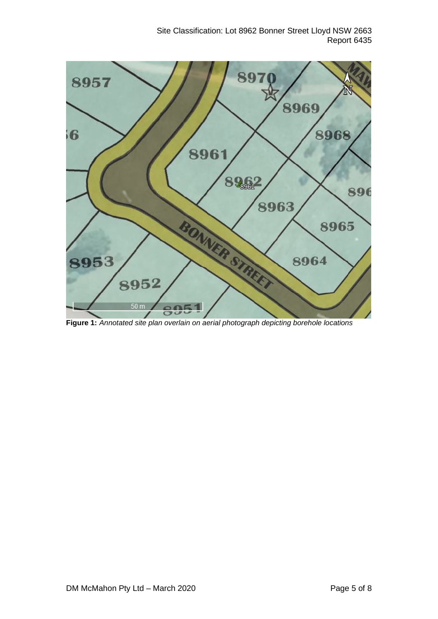Site Classification: Lot 8962 Bonner Street Lloyd NSW 2663 Report 6435



**Figure 1:** *Annotated site plan overlain on aerial photograph depicting borehole locations*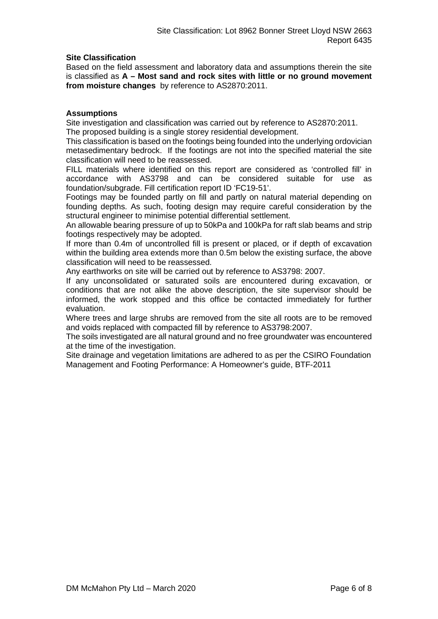# **Site Classification**

Based on the field assessment and laboratory data and assumptions therein the site is classified as **A – Most sand and rock sites with little or no ground movement from moisture changes** by reference to AS2870:2011.

### **Assumptions**

Site investigation and classification was carried out by reference to AS2870:2011. The proposed building is a single storey residential development.

This classification is based on the footings being founded into the underlying ordovician metasedimentary bedrock. If the footings are not into the specified material the site classification will need to be reassessed.

FILL materials where identified on this report are considered as 'controlled fill' in accordance with AS3798 and can be considered suitable for use as foundation/subgrade. Fill certification report ID 'FC19-51'.

Footings may be founded partly on fill and partly on natural material depending on founding depths. As such, footing design may require careful consideration by the structural engineer to minimise potential differential settlement.

An allowable bearing pressure of up to 50kPa and 100kPa for raft slab beams and strip footings respectively may be adopted.

If more than 0.4m of uncontrolled fill is present or placed, or if depth of excavation within the building area extends more than 0.5m below the existing surface, the above classification will need to be reassessed.

Any earthworks on site will be carried out by reference to AS3798: 2007.

If any unconsolidated or saturated soils are encountered during excavation, or conditions that are not alike the above description, the site supervisor should be informed, the work stopped and this office be contacted immediately for further evaluation.

Where trees and large shrubs are removed from the site all roots are to be removed and voids replaced with compacted fill by reference to AS3798:2007.

The soils investigated are all natural ground and no free groundwater was encountered at the time of the investigation.

Site drainage and vegetation limitations are adhered to as per the CSIRO Foundation Management and Footing Performance: A Homeowner's guide, BTF-2011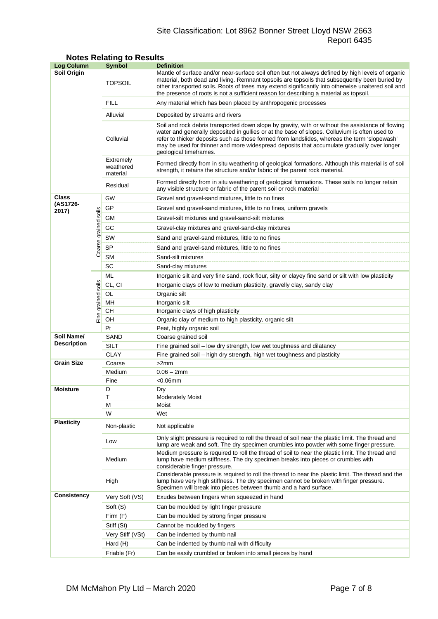# Site Classification: Lot 8962 Bonner Street Lloyd NSW 2663 Report 6435

| <b>Log Column</b>  |                      | <b>Symbol</b>                                                                                                                                                                                                              | <b>Definition</b>                                                                                                                                                                                                                                                                                                                                                                                                          |  |  |
|--------------------|----------------------|----------------------------------------------------------------------------------------------------------------------------------------------------------------------------------------------------------------------------|----------------------------------------------------------------------------------------------------------------------------------------------------------------------------------------------------------------------------------------------------------------------------------------------------------------------------------------------------------------------------------------------------------------------------|--|--|
| <b>Soil Origin</b> |                      | <b>TOPSOIL</b>                                                                                                                                                                                                             | Mantle of surface and/or near-surface soil often but not always defined by high levels of organic<br>material, both dead and living. Remnant topsoils are topsoils that subsequently been buried by<br>other transported soils. Roots of trees may extend significantly into otherwise unaltered soil and<br>the presence of roots is not a sufficient reason for describing a material as topsoil.                        |  |  |
|                    |                      | <b>FILL</b>                                                                                                                                                                                                                | Any material which has been placed by anthropogenic processes                                                                                                                                                                                                                                                                                                                                                              |  |  |
|                    |                      | Alluvial                                                                                                                                                                                                                   | Deposited by streams and rivers                                                                                                                                                                                                                                                                                                                                                                                            |  |  |
|                    |                      | Colluvial                                                                                                                                                                                                                  | Soil and rock debris transported down slope by gravity, with or without the assistance of flowing<br>water and generally deposited in gullies or at the base of slopes. Colluvium is often used to<br>refer to thicker deposits such as those formed from landslides, whereas the term 'slopewash'<br>may be used for thinner and more widespread deposits that accumulate gradually over longer<br>geological timeframes. |  |  |
|                    |                      | Extremely<br>Formed directly from in situ weathering of geological formations. Although this material is of soil<br>weathered<br>strength, it retains the structure and/or fabric of the parent rock material.<br>material |                                                                                                                                                                                                                                                                                                                                                                                                                            |  |  |
|                    |                      | Residual                                                                                                                                                                                                                   | Formed directly from in situ weathering of geological formations. These soils no longer retain<br>any visible structure or fabric of the parent soil or rock material                                                                                                                                                                                                                                                      |  |  |
| Class              |                      | GW                                                                                                                                                                                                                         | Gravel and gravel-sand mixtures, little to no fines                                                                                                                                                                                                                                                                                                                                                                        |  |  |
| (AS1726-<br>2017)  |                      | GP                                                                                                                                                                                                                         | Gravel and gravel-sand mixtures, little to no fines, uniform gravels                                                                                                                                                                                                                                                                                                                                                       |  |  |
|                    |                      | GМ                                                                                                                                                                                                                         | Gravel-silt mixtures and gravel-sand-silt mixtures                                                                                                                                                                                                                                                                                                                                                                         |  |  |
|                    |                      | GC                                                                                                                                                                                                                         | Gravel-clay mixtures and gravel-sand-clay mixtures                                                                                                                                                                                                                                                                                                                                                                         |  |  |
|                    |                      | SW                                                                                                                                                                                                                         |                                                                                                                                                                                                                                                                                                                                                                                                                            |  |  |
|                    |                      |                                                                                                                                                                                                                            | Sand and gravel-sand mixtures, little to no fines                                                                                                                                                                                                                                                                                                                                                                          |  |  |
|                    | Coarse grained soils | <b>SP</b>                                                                                                                                                                                                                  | Sand and gravel-sand mixtures, little to no fines                                                                                                                                                                                                                                                                                                                                                                          |  |  |
|                    |                      | <b>SM</b>                                                                                                                                                                                                                  | Sand-silt mixtures                                                                                                                                                                                                                                                                                                                                                                                                         |  |  |
|                    |                      | SC                                                                                                                                                                                                                         | Sand-clay mixtures                                                                                                                                                                                                                                                                                                                                                                                                         |  |  |
|                    |                      | ML                                                                                                                                                                                                                         | Inorganic silt and very fine sand, rock flour, silty or clayey fine sand or silt with low plasticity                                                                                                                                                                                                                                                                                                                       |  |  |
|                    | soils                | CL, CI                                                                                                                                                                                                                     | Inorganic clays of low to medium plasticity, gravelly clay, sandy clay                                                                                                                                                                                                                                                                                                                                                     |  |  |
|                    |                      | OL                                                                                                                                                                                                                         | Organic silt                                                                                                                                                                                                                                                                                                                                                                                                               |  |  |
|                    |                      | MН<br>CН                                                                                                                                                                                                                   | Inorganic silt<br>Inorganic clays of high plasticity                                                                                                                                                                                                                                                                                                                                                                       |  |  |
|                    | Fine grained         | OН                                                                                                                                                                                                                         | Organic clay of medium to high plasticity, organic silt                                                                                                                                                                                                                                                                                                                                                                    |  |  |
|                    |                      | Pt                                                                                                                                                                                                                         | Peat, highly organic soil                                                                                                                                                                                                                                                                                                                                                                                                  |  |  |
| Soil Name/         |                      | SAND                                                                                                                                                                                                                       | Coarse grained soil                                                                                                                                                                                                                                                                                                                                                                                                        |  |  |
| <b>Description</b> |                      | SILT                                                                                                                                                                                                                       | Fine grained soil - low dry strength, low wet toughness and dilatancy                                                                                                                                                                                                                                                                                                                                                      |  |  |
|                    |                      | <b>CLAY</b>                                                                                                                                                                                                                | Fine grained soil – high dry strength, high wet toughness and plasticity                                                                                                                                                                                                                                                                                                                                                   |  |  |
| <b>Grain Size</b>  |                      | Coarse                                                                                                                                                                                                                     | >2mm                                                                                                                                                                                                                                                                                                                                                                                                                       |  |  |
|                    |                      | Medium                                                                                                                                                                                                                     | $0.06 - 2mm$                                                                                                                                                                                                                                                                                                                                                                                                               |  |  |
|                    |                      | Fine                                                                                                                                                                                                                       | $<$ 0.06 $mm$                                                                                                                                                                                                                                                                                                                                                                                                              |  |  |
| <b>Moisture</b>    |                      | D                                                                                                                                                                                                                          | Dry                                                                                                                                                                                                                                                                                                                                                                                                                        |  |  |
|                    |                      | Т                                                                                                                                                                                                                          | <b>Moderately Moist</b>                                                                                                                                                                                                                                                                                                                                                                                                    |  |  |
|                    |                      | М<br>W                                                                                                                                                                                                                     | Moist<br>Wet                                                                                                                                                                                                                                                                                                                                                                                                               |  |  |
| <b>Plasticity</b>  |                      | Non-plastic                                                                                                                                                                                                                | Not applicable                                                                                                                                                                                                                                                                                                                                                                                                             |  |  |
|                    |                      | Low                                                                                                                                                                                                                        | Only slight pressure is required to roll the thread of soil near the plastic limit. The thread and<br>lump are weak and soft. The dry specimen crumbles into powder with some finger pressure.                                                                                                                                                                                                                             |  |  |
|                    |                      | Medium                                                                                                                                                                                                                     | Medium pressure is required to roll the thread of soil to near the plastic limit. The thread and<br>lump have medium stiffness. The dry specimen breaks into pieces or crumbles with<br>considerable finger pressure.                                                                                                                                                                                                      |  |  |
|                    |                      | High                                                                                                                                                                                                                       | Considerable pressure is required to roll the thread to near the plastic limit. The thread and the<br>lump have very high stiffness. The dry specimen cannot be broken with finger pressure.<br>Specimen will break into pieces between thumb and a hard surface.                                                                                                                                                          |  |  |
| <b>Consistency</b> |                      | Very Soft (VS)                                                                                                                                                                                                             | Exudes between fingers when squeezed in hand                                                                                                                                                                                                                                                                                                                                                                               |  |  |
|                    |                      | Soft (S)                                                                                                                                                                                                                   | Can be moulded by light finger pressure                                                                                                                                                                                                                                                                                                                                                                                    |  |  |
|                    |                      | Firm (F)                                                                                                                                                                                                                   | Can be moulded by strong finger pressure                                                                                                                                                                                                                                                                                                                                                                                   |  |  |
|                    |                      | Stiff (St)                                                                                                                                                                                                                 | Cannot be moulded by fingers                                                                                                                                                                                                                                                                                                                                                                                               |  |  |
|                    |                      | Very Stiff (VSt)                                                                                                                                                                                                           | Can be indented by thumb nail                                                                                                                                                                                                                                                                                                                                                                                              |  |  |
|                    |                      | Hard (H)                                                                                                                                                                                                                   | Can be indented by thumb nail with difficulty                                                                                                                                                                                                                                                                                                                                                                              |  |  |
|                    |                      | Friable (Fr)                                                                                                                                                                                                               | Can be easily crumbled or broken into small pieces by hand                                                                                                                                                                                                                                                                                                                                                                 |  |  |

# **Notes Relating to Results**